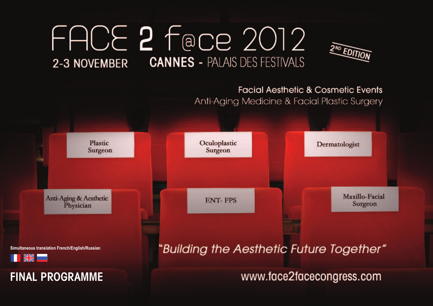# FACE 2 Face 2012 2-3 NOVEMBER CANNES - PALAIS DES FESTIVALS



# **Facial Aesthetic & Cosmetic Events** Anti-Aging Medicine & Facial Plastic Surgery

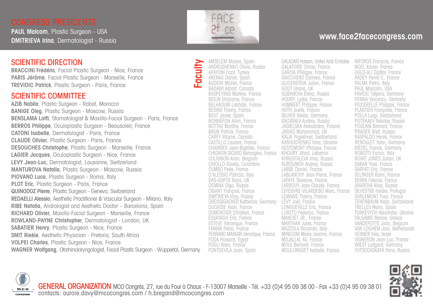**PAUL Malcom**, Plastic Surgeon - USA **DMITRIEVA Irina**, Dermatologist - Russia

### SCIENTIFIC DIRECTION

**BRACCINI Frédéric**, Facial Plastic Surgeon - Nice, France **PARIS Jérôme**, Facial Plastic Surgeon - Marseille, France **TREVIDIC Patrick**, Plastic Surgeon - Paris, France

#### SCIENTIFIC COMMITTEE

**AZIB Nabila**, Plastic Surgeon - Rabat, Morocco **BANIGE Oleg**, Plastic Surgeon - Moscow, Russia **BENSLAMA Lotfi**, Stomatologist & Maxillo-Facial Surgeon - Paris, France **BERROS Philippe**, Oculoplastic Surgeon - Beausoleil, France **CATONI Isabelle**, Dermatologist - Paris, France **CLAUDE Olivier**, Plastic Surgeon - Paris, France **DESOUCHES Christophe**, Plastic Surgeon - Marseille, France **LAGIER Jacques**, Oculoplastic Surgeon - Nice, France **LEVY Jean-Luc,** Dermatologist, Lausanne, Switzerland **MANTUROVA Natalia**, Plastic Surgeon - Moscow, Russia **PIOVANO Luca**, Plastic Surgeon - Roma, Italy **PLOT Eric**, Plastic Surgeon - Paris, France **QUINODOZ Pierre**, Plastic Surgeon - Geneva, Switzerland **REDAELLI Alessio**, Aesthetic Practitioner & Vascular Surgeon - Milano, Italy **RIBE Natalia**, Andrologist and Aesthetic Doctor – Barcelona, Spain **RICHARD Olivier**, Maxillo-Facial Surgeon - Marseille, France **ROWLAND-PAYNE Christopher**, Dermatologist - London, UK **SABATIER Henry**, Plastic Surgeon - Nice, France **SMIT Riekie**, Aesthetic Physician - Pretoria, South Africa **VOLPEI Charles**, Plastic Surgeon - Nice, France **WAGNER Wolfgang**, Otorhinolaryngologist, Facial Plastic Surgeon - Wuppertal, Germany



**Fa** <u>د،</u> **ulty** AMSELEM Moises, Spain ANDRUSHENKO Olivia, Russia APAYDIN Fazil, Turkey ARENAS Daniel, Spain AUDION Michel, France BADAWI Ashraf, Canada BASPEYRAS Martine, France BEILIN Ghislaine, France BELHAOURI Lakhdar, France BESINS Thierry, France BEUT Javier, Spain BONNEFON Alain, France BOTTAU Marithé, France BRUN Patrick, France CAREY Wayne, Canada CASTILLO Laurent, France CHARRIER Jean-Baptiste, France CHIGNON SICARD Bérangère, France COLIGNON Alain, Belgium CRIOLLO Gisella, Colombia CUMBO Peter, France D'ALESSIO Patrizia, Italy DAS-GUPTA Rana, UK DEMINA Olga, Russia DISANT François, France DMITRIEVA Irina, Russia DREISSIGACKER Katherine, Germany DUCASSE Alain, France DUMONTIER Christian, France ESSAYAGH Eric, France ESTEVE Véronique, France FANIAN Férial, France FERRAND MANGIN Véronique, France FODA Hossam, Egypt FOGLI Alain, France FONTDEVILA Joan, Spain

## **www.face2facecongress.com**

GALADARI Hassan, United Arab Emirates GALATOIRE Olivier, France GARCIA Philippe, France GIACCHERO Damien, France GLICENSTEIN Julien, France GOUT Uliana, UK GUBANOVA Elena, Russia HOURY, Lydia, France HUMBERT Philippe, France HUTH Joelle, France IBLHER Niklas, Germany ISKORNEV Andrey, Russia JAGIELSKA Aleksandra, Poland JAWAD Mohammad, UK KALIA Yogeshvar, Switzerland KASHUCHENKO Irina, Ukraine KESTEMONT Philippe, France KHOURY Jihad, Lebanon KHRUSTALEVA Irina, Russia KURDUMOV Andrey, Russia LABBE Daniel, France LABLANCHY Jean-Pierre, France LAFAYE Séverine, France LARROUY Jean-Claude, France LEFEBVRE-VILARDEBO Marc, France LEMAIRE Thierry, France LEVY Joël, France LONGUEVILLE Eric, France LORETO Federico, France MANCIET JR., France MARTHAN Jules, France MAZZOLA Riccardo, Italy MINICONI Marie-Jeanne, France MOJALLAL Ali, France MOLE Bernard, France MOULONGUET Isabelle, France

NIFOROS François, France NOEL Xavier, France OULD-ALI Djaffar, France PADEY Hervé S., France PALMA Pietro, Italy PAUL Malcolm, USA PAVICIC Tatjana, Germany PENNA Vincenzo, Germany PICCERELLE Philippe, France PLANTIER Françoise, France POLLA Luigi, Switzerland POTEKAEV Nikolay, Russia POULAIN Bernard, France PRAGER Welf, Russia RASPALDO Hervé, France RENOULET Yann, Germany RIEDEL Franck, Germany ROBOTTI Enrico, Italy ROWE JONES Julian, UK SABAN Yves, France SARFATI Eric, France SELINGER Rami, France SERRA Fabrice, France SHAROVA Alisa, Russia SILVESTRE Helder, Portugal SURLEMONT Yves, France TENENBAUM Alain, Switzerland TRELLES Mario, Spain TURKEVYCH Alexander, Ukraine VALSAMIS Marios, Greece VANDEPUTTE Joan, Belgium VAN LOGHEM Jani, Netherlands VERNER Inès, Israel VIGNERON Jean-Luc, France WIEST Luitgard, Germany YUTSCOVSKAYA Yana, Russia





GENERAL ORGANIZATION MCO Congrès, 27, rue du Four à Chaux - F-13007 Marseille - Tél. +33 (0)4 95 09 38 00 - Fax +33 (0)4 95 09 38 01 contacts: aurore.davy@mcocongres.com / h.bregand@mcocongres.com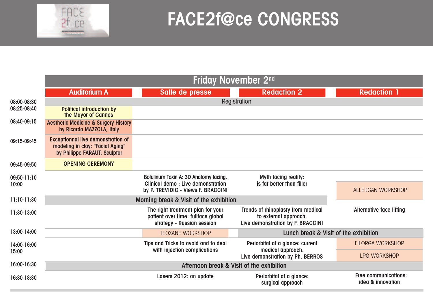

# **FACE2f@ce CONGRESS**

|                      | Friday November 2 <sup>nd</sup>                                                                               |                                                                                                       |                                                                                                  |                                                  |  |  |  |
|----------------------|---------------------------------------------------------------------------------------------------------------|-------------------------------------------------------------------------------------------------------|--------------------------------------------------------------------------------------------------|--------------------------------------------------|--|--|--|
|                      | <b>Auditorium A</b>                                                                                           | Salle de presse                                                                                       | <b>Redaction 2</b>                                                                               | <b>Redaction 1</b>                               |  |  |  |
| 08:00-08:30          | Registration                                                                                                  |                                                                                                       |                                                                                                  |                                                  |  |  |  |
| 08:25-08:40          | <b>Political introduction by</b><br>the Mayor of Cannes                                                       |                                                                                                       |                                                                                                  |                                                  |  |  |  |
| 08:40-09:15          | <b>Aesthetic Medicine &amp; Surgery History</b><br>by Ricardo MAZZOLA, Italy                                  |                                                                                                       |                                                                                                  |                                                  |  |  |  |
| 09:15-09:45          | <b>Exceptionnal live demonstration of</b><br>modeling in clay: "Facial Aging"<br>by Philippe FARAUT, Sculptor |                                                                                                       |                                                                                                  |                                                  |  |  |  |
| 09:45-09:50          | <b>OPENING CEREMONY</b>                                                                                       |                                                                                                       |                                                                                                  |                                                  |  |  |  |
| 09:50-11:10<br>10:00 |                                                                                                               | Botulinum Toxin A: 3D Anatomy facing.                                                                 | Myth facing reality:                                                                             | ALLERGAN WORKSHOP                                |  |  |  |
|                      |                                                                                                               | Clinical demo: Live demonstration<br>by P. TREVIDIC - Views F. BRACCINI                               | is fat better than filler                                                                        |                                                  |  |  |  |
| 11:10-11:30          |                                                                                                               | Morning break & Visit of the exhibition                                                               |                                                                                                  |                                                  |  |  |  |
| 11:30-13:00          |                                                                                                               | The right treatment plan for your<br>patient over time: fullface global<br>strategy - Russian session | Trends of rhinoplasty from medical<br>to external approach.<br>Live demonstration by F. BRACCINI | <b>Alternative face lifting</b>                  |  |  |  |
| 13:00-14:00          |                                                                                                               | <b>TEOXANE WORKSHOP</b>                                                                               | Lunch break & Visit of the exhibition                                                            |                                                  |  |  |  |
| 14:00-16:00<br>15:00 |                                                                                                               | Tips and Tricks to avoid and to deal<br>with injection complications                                  | Periorbital at a glance: current<br>medical approach.<br>Live demonstration by Ph. BERROS        | <b>FILORGA WORKSHOP</b>                          |  |  |  |
|                      |                                                                                                               |                                                                                                       |                                                                                                  | <b>LPG WORKSHOP</b>                              |  |  |  |
| 16:00-16:30          | Afternoon break & Visit of the exhibition                                                                     |                                                                                                       |                                                                                                  |                                                  |  |  |  |
| 16:30-18:30          |                                                                                                               | Lasers 2012: an update                                                                                | Periorbital at a glance:<br>surgical approach                                                    | <b>Free communications:</b><br>idea & innovation |  |  |  |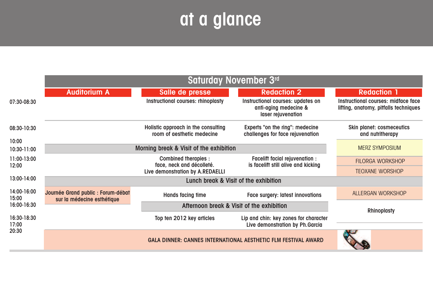# **at a glance**

|                      | Saturday November 3rd                                            |                                                                   |                                                                                  |                                                                              |  |  |
|----------------------|------------------------------------------------------------------|-------------------------------------------------------------------|----------------------------------------------------------------------------------|------------------------------------------------------------------------------|--|--|
|                      | <b>Auditorium A</b>                                              | Salle de presse                                                   | <b>Redaction 2</b>                                                               | <b>Redaction 1</b>                                                           |  |  |
| 07:30-08:30          |                                                                  | Instructional courses: rhinoplasty                                | Instructional courses: updates on<br>anti-aging medecine &<br>laser rejuvenation | Instructional courses: midface face<br>lifting, anatomy, pitfalls techniques |  |  |
| 08:30-10:30          |                                                                  | Holistic approach in the consulting<br>room of gesthetic medecine | Experts "on the ring": medecine<br>challenges for face rejuvenation              | <b>Skin planet: cosmeceutics</b><br>and nutritherapy                         |  |  |
| 10:00                |                                                                  |                                                                   |                                                                                  |                                                                              |  |  |
| 10:30-11:00          |                                                                  | <b>MERZ SYMPOSIUM</b>                                             |                                                                                  |                                                                              |  |  |
| 11:00-13:00          |                                                                  | <b>Combined therapies:</b><br>face, neck and décolleté.           | Facelift facial rejuvenation :                                                   | <b>FILORGA WORKSHOP</b>                                                      |  |  |
| 12:00                |                                                                  | Live demonstration by A.REDAELLI                                  | is facelift still alive and kicking                                              | <b>TEOXANE WORSHOP</b>                                                       |  |  |
| 13:00-14:00          | Lunch break & Visit of the exhibition                            |                                                                   |                                                                                  |                                                                              |  |  |
| 14:00-16:00<br>15:00 | Journée Grand public : Forum-débat<br>sur la médecine esthétique | Hands facing time                                                 | <b>Face surgery: latest innovations</b>                                          | ALLERGAN WORKSHOP                                                            |  |  |
| 16:00-16:30          |                                                                  | <b>Rhinoplasty</b>                                                |                                                                                  |                                                                              |  |  |
| 16:30-18:30<br>17:00 |                                                                  | Top ten 2012 key articles                                         | Lip and chin: key zones for character<br>Live demonstration by Ph. Garcia        |                                                                              |  |  |
| 20:30                |                                                                  | GALA DINNER: CANNES INTERNATIONAL AESTHETIC FLM FESTIVAL AWARD    |                                                                                  |                                                                              |  |  |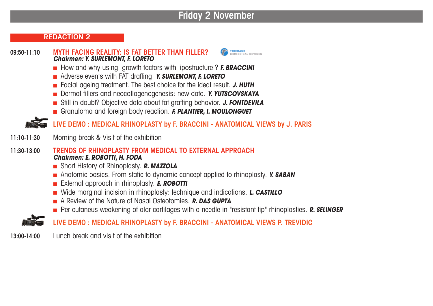# **Friday 2 November**

#### **REDACTION 2**

#### **09:50-11:10 MYTH FACING REALITY: IS FAT BETTER THAN FILLER?** *Chairmen: Y. SURLEMONT, F. LORETO*

- How and why using growth factors with lipostructure ? *F. BRACCINI*
- n Adverse events with FAT drafting. *Y. SURLEMONT, F. LORETO*
- n Facial ageing treatment. The best choice for the ideal result. *J. HUTH*
- n Dermal fillers and neocollagenogenesis: new data. *Y. YUTSCOVSKAYA*
- n Still in doubt? Objective data about fat grafting behavior. *J. FONTDEVILA*
- n Granuloma and foreign body reaction. *F. PLANTIER, I. MOULONGUET*

**LIVE DEMO : MEDICAL RHINOPLASTY by F. BRACCINI - ANATOMICAL VIEWS by J. PARIS**

- **11:10-11:30** Morning break & Visit of the exhibition
- **11:30-13:00 TRENDS OF RHINOPLASTY FROM MEDICAL TO EXTERNAL APPROACH** *Chairmen: E. ROBOTTI, H. FODA*
	- Short History of Rhinoplasty. **R. MAZZOLA**
	- n Anatomic basics. From static to dynamic concept applied to rhinoplasty. *Y. SABAN*
	- n External approach in rhinoplasty. *E. ROBOTTI*
	- Wide marginal incision in rhinoplasty: technique and indications. **L. CASTILLO**
	- n A Review of the Nature of Nasal Osteotomies. *R. DAS GUPTA*
	- n Per cutaneus weakening of alar cartilages with a needle in "resistant tip" rhinoplasties. *R. SELINGER*

**LIVE DEMO : MEDICAL RHINOPLASTY by F. BRACCINI - ANATOMICAL VIEWS P. TREVIDIC**

**13:00-14:00** Lunch break and visit of the exhibition

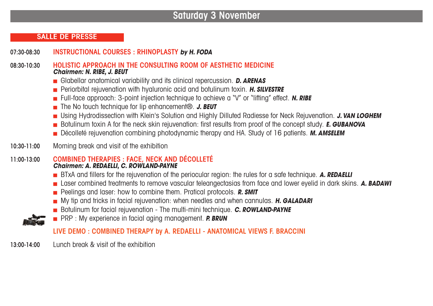# **Saturday 3 November**

#### **SALLE DE PRESSE**

**07:30-08:30 INSTRUCTIONAL COURSES : RHINOPLASTY** *by H. FODA*

**08:30-10:30 HOLISTIC APPROACH IN THE CONSULTING ROOM OF AESTHETIC MEDICINE** *Chairmen: N. RIBE, J. BEUT*

- Glabellar anatomical variability and its clinical repercussion. **D. ARENAS**
- n Periorbital rejuvenation with hyaluronic acid and botulinum toxin. *H. SILVESTRE*
- n Full-face approach: 3-point injection technique to achieve a "V" or "lifting" effect. *N. RIBE*
- The No touch technique for lip enhancement<sup>®</sup>. J. **BEUT**
- n Using Hydrodissection with Klein's Solution and Highly Dilluted Radiesse for Neck Rejuvenation. *J. VAN LOGHEM*
- n Botulinum toxin A for the neck skin rejuvenation: first results from proof of the concept study. *E. GUBANOVA*
- n Décolleté rejuvenation combining photodynamic therapy and HA. Study of 16 patients. *M. AMSELEM*
- **10:30-11:00** Morning break and visit of the exhibition

#### **11:00-13:00 COMBINED THERAPIES : FACE, NECK AND DÉCOLLETÉ** *Chairmen: A. REDAELLI, C. ROWLAND-PAYNE*

- n BTxA and fillers for the rejuvenation of the periocular region: the rules for a safe technique. *A. REDAELLI*
- n Laser combined treatments to remove vascular teleangectasias from face and lower eyelid in dark skins. *A. BADAWI*
- Peelings and laser: how to combine them. Pratical protocols. **R. SMIT**
- n My tip and tricks in facial rejuvenation: when needles and when cannulas. *H. GALADARI*
- **n** Botulinum for facial rejuvenation The multi-mini technique. **C. ROWLAND-PAYNE**
- n PRP : My experience in facial aging management. *P. BRUN*

### **LIVE DEMO : COMBINED THERAPY by A. REDAELLI - ANATOMICAL VIEWS F. BRACCINI**

**13:00-14:00** Lunch break & visit of the exhibition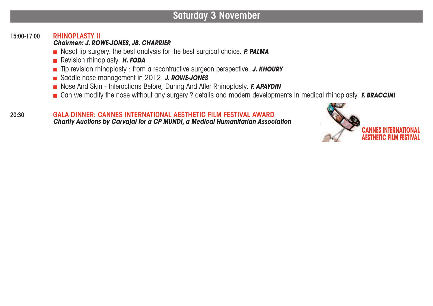# **Saturday 3 November**

#### **15:00-17:00 RHINOPLASTY II**

#### *Chairmen: J. ROWE-JONES, JB. CHARRIER*

- Nasal tip surgery. the best analysis for the best surgical choice. **P. PALMA**
- n Revision rhinoplasty. *H. FODA*
- n Tip revision rhinoplasty : from a recontructive surgeon perspective. *J. KHOURY*
- n Saddle nose management in 2012. *J. ROWE-JONES*
- Nose And Skin Interactions Before, During And After Rhinoplasty. **F. APAYDIN**
- n Can we modify the nose without any surgery ? details and modern developments in medical rhinoplasty. *F. BRACCINI*

#### **20:30 GALA DINNER: CANNES INTERNATIONAL AESTHETIC FILM FESTIVAL AWARD** *Charity Auctions by Carvajal for a CP MUNDI, a Medical Humanitarian Association*